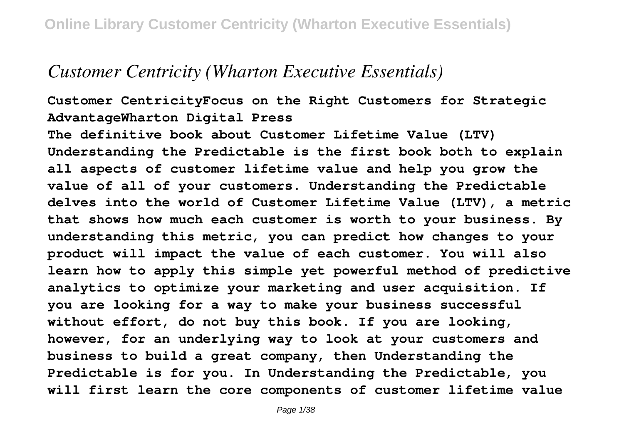## *Customer Centricity (Wharton Executive Essentials)*

**Customer CentricityFocus on the Right Customers for Strategic AdvantageWharton Digital Press**

**The definitive book about Customer Lifetime Value (LTV) Understanding the Predictable is the first book both to explain all aspects of customer lifetime value and help you grow the value of all of your customers. Understanding the Predictable delves into the world of Customer Lifetime Value (LTV), a metric that shows how much each customer is worth to your business. By understanding this metric, you can predict how changes to your product will impact the value of each customer. You will also learn how to apply this simple yet powerful method of predictive analytics to optimize your marketing and user acquisition. If you are looking for a way to make your business successful without effort, do not buy this book. If you are looking, however, for an underlying way to look at your customers and business to build a great company, then Understanding the Predictable is for you. In Understanding the Predictable, you will first learn the core components of customer lifetime value**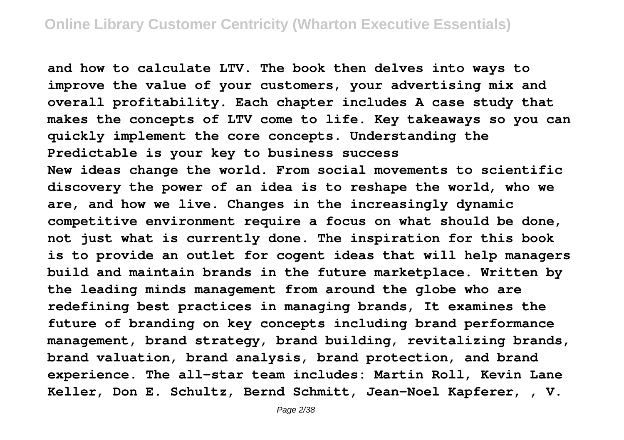**and how to calculate LTV. The book then delves into ways to improve the value of your customers, your advertising mix and overall profitability. Each chapter includes A case study that makes the concepts of LTV come to life. Key takeaways so you can quickly implement the core concepts. Understanding the Predictable is your key to business success New ideas change the world. From social movements to scientific discovery the power of an idea is to reshape the world, who we are, and how we live. Changes in the increasingly dynamic competitive environment require a focus on what should be done, not just what is currently done. The inspiration for this book is to provide an outlet for cogent ideas that will help managers build and maintain brands in the future marketplace. Written by the leading minds management from around the globe who are redefining best practices in managing brands, It examines the future of branding on key concepts including brand performance management, brand strategy, brand building, revitalizing brands, brand valuation, brand analysis, brand protection, and brand experience. The all-star team includes: Martin Roll, Kevin Lane Keller, Don E. Schultz, Bernd Schmitt, Jean-Noel Kapferer, , V.**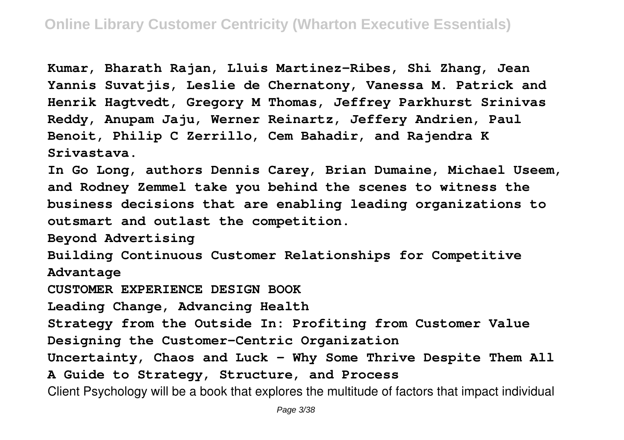**Kumar, Bharath Rajan, Lluis Martinez-Ribes, Shi Zhang, Jean Yannis Suvatjis, Leslie de Chernatony, Vanessa M. Patrick and Henrik Hagtvedt, Gregory M Thomas, Jeffrey Parkhurst Srinivas Reddy, Anupam Jaju, Werner Reinartz, Jeffery Andrien, Paul Benoit, Philip C Zerrillo, Cem Bahadir, and Rajendra K Srivastava.**

**In Go Long, authors Dennis Carey, Brian Dumaine, Michael Useem, and Rodney Zemmel take you behind the scenes to witness the business decisions that are enabling leading organizations to outsmart and outlast the competition.**

**Beyond Advertising**

**Building Continuous Customer Relationships for Competitive Advantage**

**CUSTOMER EXPERIENCE DESIGN BOOK**

**Leading Change, Advancing Health**

**Strategy from the Outside In: Profiting from Customer Value**

**Designing the Customer-Centric Organization**

**Uncertainty, Chaos and Luck - Why Some Thrive Despite Them All A Guide to Strategy, Structure, and Process**

Client Psychology will be a book that explores the multitude of factors that impact individual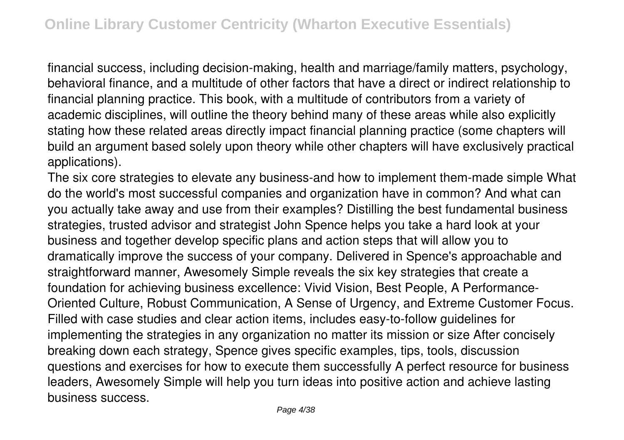financial success, including decision-making, health and marriage/family matters, psychology, behavioral finance, and a multitude of other factors that have a direct or indirect relationship to financial planning practice. This book, with a multitude of contributors from a variety of academic disciplines, will outline the theory behind many of these areas while also explicitly stating how these related areas directly impact financial planning practice (some chapters will build an argument based solely upon theory while other chapters will have exclusively practical applications).

The six core strategies to elevate any business-and how to implement them-made simple What do the world's most successful companies and organization have in common? And what can you actually take away and use from their examples? Distilling the best fundamental business strategies, trusted advisor and strategist John Spence helps you take a hard look at your business and together develop specific plans and action steps that will allow you to dramatically improve the success of your company. Delivered in Spence's approachable and straightforward manner, Awesomely Simple reveals the six key strategies that create a foundation for achieving business excellence: Vivid Vision, Best People, A Performance-Oriented Culture, Robust Communication, A Sense of Urgency, and Extreme Customer Focus. Filled with case studies and clear action items, includes easy-to-follow guidelines for implementing the strategies in any organization no matter its mission or size After concisely breaking down each strategy, Spence gives specific examples, tips, tools, discussion questions and exercises for how to execute them successfully A perfect resource for business leaders, Awesomely Simple will help you turn ideas into positive action and achieve lasting business success.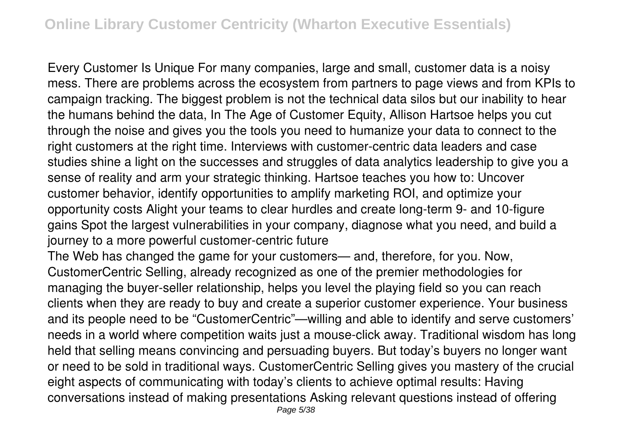Every Customer Is Unique For many companies, large and small, customer data is a noisy mess. There are problems across the ecosystem from partners to page views and from KPIs to campaign tracking. The biggest problem is not the technical data silos but our inability to hear the humans behind the data, In The Age of Customer Equity, Allison Hartsoe helps you cut through the noise and gives you the tools you need to humanize your data to connect to the right customers at the right time. Interviews with customer-centric data leaders and case studies shine a light on the successes and struggles of data analytics leadership to give you a sense of reality and arm your strategic thinking. Hartsoe teaches you how to: Uncover customer behavior, identify opportunities to amplify marketing ROI, and optimize your opportunity costs Alight your teams to clear hurdles and create long-term 9- and 10-figure gains Spot the largest vulnerabilities in your company, diagnose what you need, and build a journey to a more powerful customer-centric future

The Web has changed the game for your customers— and, therefore, for you. Now, CustomerCentric Selling, already recognized as one of the premier methodologies for managing the buyer-seller relationship, helps you level the playing field so you can reach clients when they are ready to buy and create a superior customer experience. Your business and its people need to be "CustomerCentric"—willing and able to identify and serve customers' needs in a world where competition waits just a mouse-click away. Traditional wisdom has long held that selling means convincing and persuading buyers. But today's buyers no longer want or need to be sold in traditional ways. CustomerCentric Selling gives you mastery of the crucial eight aspects of communicating with today's clients to achieve optimal results: Having conversations instead of making presentations Asking relevant questions instead of offering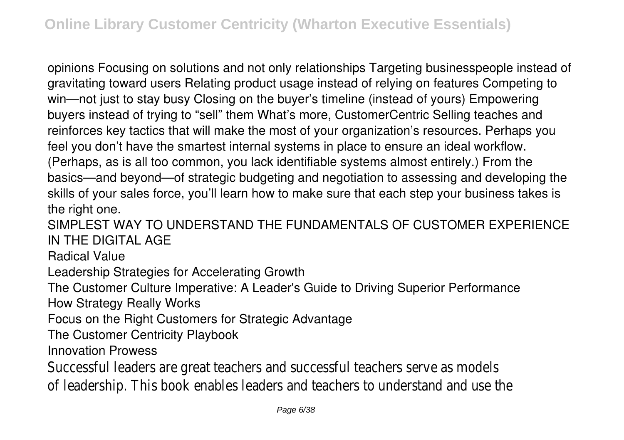opinions Focusing on solutions and not only relationships Targeting businesspeople instead of gravitating toward users Relating product usage instead of relying on features Competing to win—not just to stay busy Closing on the buyer's timeline (instead of yours) Empowering buyers instead of trying to "sell" them What's more, CustomerCentric Selling teaches and reinforces key tactics that will make the most of your organization's resources. Perhaps you feel you don't have the smartest internal systems in place to ensure an ideal workflow. (Perhaps, as is all too common, you lack identifiable systems almost entirely.) From the basics—and beyond—of strategic budgeting and negotiation to assessing and developing the skills of your sales force, you'll learn how to make sure that each step your business takes is the right one.

SIMPLEST WAY TO UNDERSTAND THE FUNDAMENTALS OF CUSTOMER EXPERIENCE IN THE DIGITAL AGE

Radical Value

Leadership Strategies for Accelerating Growth

The Customer Culture Imperative: A Leader's Guide to Driving Superior Performance

How Strategy Really Works

Focus on the Right Customers for Strategic Advantage

The Customer Centricity Playbook

Innovation Prowess

Successful leaders are great teachers and successful teachers serve as models of leadership. This book enables leaders and teachers to understand and use the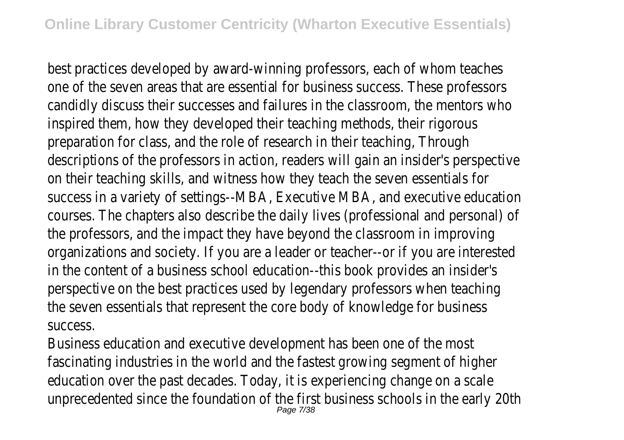best practices developed by award-winning professors, each of whom teaches one of the seven areas that are essential for business success. These professors candidly discuss their successes and failures in the classroom, the mentors who inspired them, how they developed their teaching methods, their rigorous preparation for class, and the role of research in their teaching, Through descriptions of the professors in action, readers will gain an insider's perspective on their teaching skills, and witness how they teach the seven essentials for success in a variety of settings--MBA, Executive MBA, and executive education courses. The chapters also describe the daily lives (professional and personal) of the professors, and the impact they have beyond the classroom in improving organizations and society. If you are a leader or teacher--or if you are interested in the content of a business school education--this book provides an insider's perspective on the best practices used by legendary professors when teaching the seven essentials that represent the core body of knowledge for business success.

Business education and executive development has been one of the most fascinating industries in the world and the fastest growing segment of higher education over the past decades. Today, it is experiencing change on a scale unprecedented since the foundation of the first business schools in the early 20th Page 7/38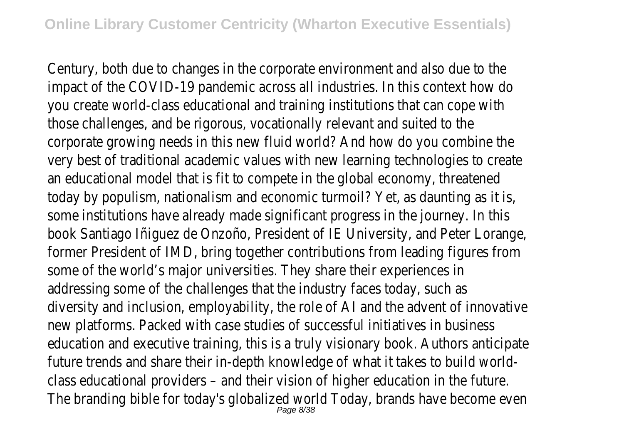Century, both due to changes in the corporate environment and also due to the impact of the COVID-19 pandemic across all industries. In this context how do you create world-class educational and training institutions that can cope with those challenges, and be rigorous, vocationally relevant and suited to the corporate growing needs in this new fluid world? And how do you combine the very best of traditional academic values with new learning technologies to create an educational model that is fit to compete in the global economy, threatened today by populism, nationalism and economic turmoil? Yet, as daunting as it is, some institutions have already made significant progress in the journey. In this book Santiago Iñiguez de Onzoño, President of IE University, and Peter Lorange, former President of IMD, bring together contributions from leading figures from some of the world's major universities. They share their experiences in addressing some of the challenges that the industry faces today, such as diversity and inclusion, employability, the role of AI and the advent of innovative new platforms. Packed with case studies of successful initiatives in business education and executive training, this is a truly visionary book. Authors anticipate future trends and share their in-depth knowledge of what it takes to build worldclass educational providers – and their vision of higher education in the future. The branding bible for today's globalized world Today, brands have become even Page 8/38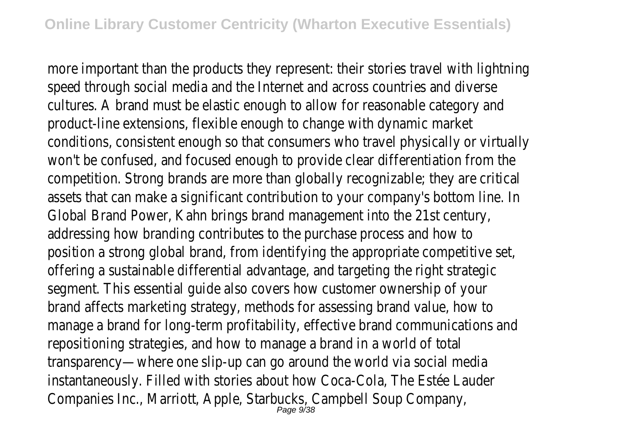more important than the products they represent: their stories travel with lightning speed through social media and the Internet and across countries and diverse cultures. A brand must be elastic enough to allow for reasonable category and product-line extensions, flexible enough to change with dynamic market conditions, consistent enough so that consumers who travel physically or virtually won't be confused, and focused enough to provide clear differentiation from the competition. Strong brands are more than globally recognizable; they are critical assets that can make a significant contribution to your company's bottom line. In Global Brand Power, Kahn brings brand management into the 21st century, addressing how branding contributes to the purchase process and how to position a strong global brand, from identifying the appropriate competitive set, offering a sustainable differential advantage, and targeting the right strategic segment. This essential guide also covers how customer ownership of your brand affects marketing strategy, methods for assessing brand value, how to manage a brand for long-term profitability, effective brand communications and repositioning strategies, and how to manage a brand in a world of total transparency—where one slip-up can go around the world via social media instantaneously. Filled with stories about how Coca-Cola, The Estée Lauder Companies Inc., Marriott, Apple, Starbucks, Campbell Soup Company, Page 9/38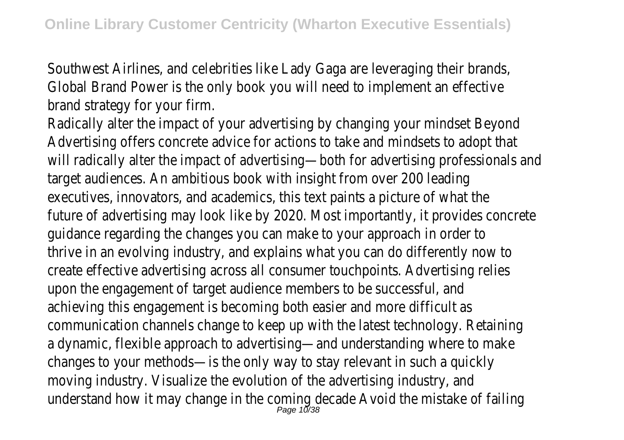Southwest Airlines, and celebrities like Lady Gaga are leveraging their brands, Global Brand Power is the only book you will need to implement an effective brand strategy for your firm.

Radically alter the impact of your advertising by changing your mindset Beyond Advertising offers concrete advice for actions to take and mindsets to adopt that will radically alter the impact of advertising—both for advertising professionals and target audiences. An ambitious book with insight from over 200 leading executives, innovators, and academics, this text paints a picture of what the future of advertising may look like by 2020. Most importantly, it provides concrete guidance regarding the changes you can make to your approach in order to thrive in an evolving industry, and explains what you can do differently now to create effective advertising across all consumer touchpoints. Advertising relies upon the engagement of target audience members to be successful, and achieving this engagement is becoming both easier and more difficult as communication channels change to keep up with the latest technology. Retaining a dynamic, flexible approach to advertising—and understanding where to make changes to your methods—is the only way to stay relevant in such a quickly moving industry. Visualize the evolution of the advertising industry, and understand how it may change in the coming decade Avoid the mistake of failing Page 10/38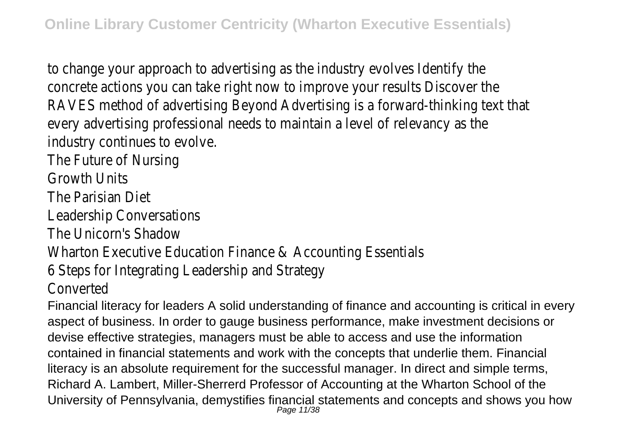to change your approach to advertising as the industry evolves Identify the concrete actions you can take right now to improve your results Discover the RAVES method of advertising Beyond Advertising is a forward-thinking text that every advertising professional needs to maintain a level of relevancy as the industry continues to evolve.

The Future of Nursing

Growth Units

The Parisian Diet

Leadership Conversations

The Unicorn's Shadow

Wharton Executive Education Finance & Accounting Essentials

6 Steps for Integrating Leadership and Strategy

Converted

Financial literacy for leaders A solid understanding of finance and accounting is critical in every aspect of business. In order to gauge business performance, make investment decisions or devise effective strategies, managers must be able to access and use the information contained in financial statements and work with the concepts that underlie them. Financial literacy is an absolute requirement for the successful manager. In direct and simple terms, Richard A. Lambert, Miller-Sherrerd Professor of Accounting at the Wharton School of the University of Pennsylvania, demystifies financial statements and concepts and shows you how Page 11/38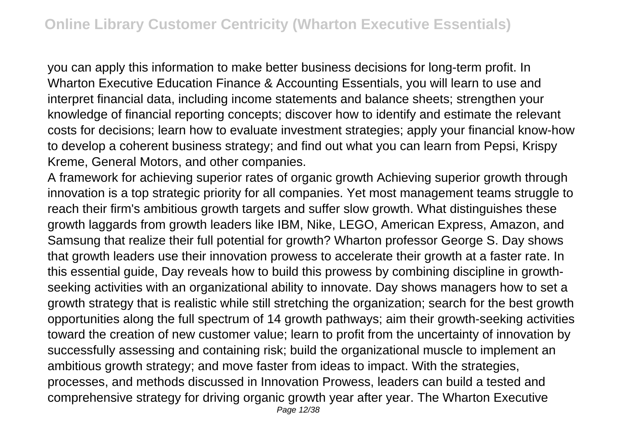you can apply this information to make better business decisions for long-term profit. In Wharton Executive Education Finance & Accounting Essentials, you will learn to use and interpret financial data, including income statements and balance sheets; strengthen your knowledge of financial reporting concepts; discover how to identify and estimate the relevant costs for decisions; learn how to evaluate investment strategies; apply your financial know-how to develop a coherent business strategy; and find out what you can learn from Pepsi, Krispy Kreme, General Motors, and other companies.

A framework for achieving superior rates of organic growth Achieving superior growth through innovation is a top strategic priority for all companies. Yet most management teams struggle to reach their firm's ambitious growth targets and suffer slow growth. What distinguishes these growth laggards from growth leaders like IBM, Nike, LEGO, American Express, Amazon, and Samsung that realize their full potential for growth? Wharton professor George S. Day shows that growth leaders use their innovation prowess to accelerate their growth at a faster rate. In this essential guide, Day reveals how to build this prowess by combining discipline in growthseeking activities with an organizational ability to innovate. Day shows managers how to set a growth strategy that is realistic while still stretching the organization; search for the best growth opportunities along the full spectrum of 14 growth pathways; aim their growth-seeking activities toward the creation of new customer value; learn to profit from the uncertainty of innovation by successfully assessing and containing risk; build the organizational muscle to implement an ambitious growth strategy; and move faster from ideas to impact. With the strategies, processes, and methods discussed in Innovation Prowess, leaders can build a tested and comprehensive strategy for driving organic growth year after year. The Wharton Executive Page 12/38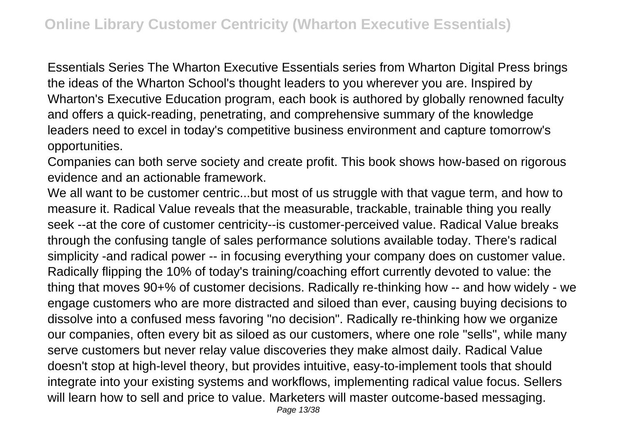Essentials Series The Wharton Executive Essentials series from Wharton Digital Press brings the ideas of the Wharton School's thought leaders to you wherever you are. Inspired by Wharton's Executive Education program, each book is authored by globally renowned faculty and offers a quick-reading, penetrating, and comprehensive summary of the knowledge leaders need to excel in today's competitive business environment and capture tomorrow's opportunities.

Companies can both serve society and create profit. This book shows how-based on rigorous evidence and an actionable framework.

We all want to be customer centric...but most of us struggle with that vague term, and how to measure it. Radical Value reveals that the measurable, trackable, trainable thing you really seek --at the core of customer centricity--is customer-perceived value. Radical Value breaks through the confusing tangle of sales performance solutions available today. There's radical simplicity -and radical power -- in focusing everything your company does on customer value. Radically flipping the 10% of today's training/coaching effort currently devoted to value: the thing that moves 90+% of customer decisions. Radically re-thinking how -- and how widely - we engage customers who are more distracted and siloed than ever, causing buying decisions to dissolve into a confused mess favoring "no decision". Radically re-thinking how we organize our companies, often every bit as siloed as our customers, where one role "sells", while many serve customers but never relay value discoveries they make almost daily. Radical Value doesn't stop at high-level theory, but provides intuitive, easy-to-implement tools that should integrate into your existing systems and workflows, implementing radical value focus. Sellers will learn how to sell and price to value. Marketers will master outcome-based messaging.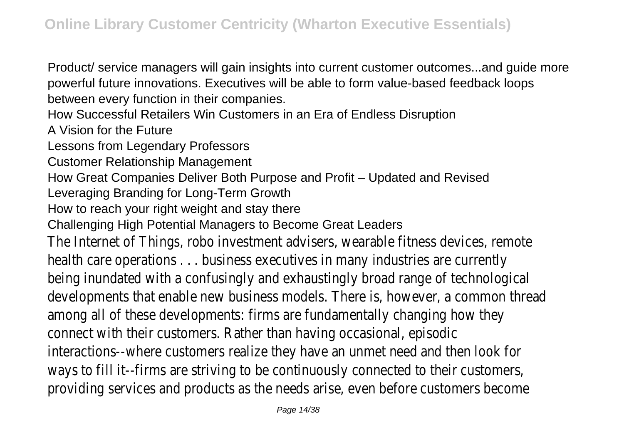Product/ service managers will gain insights into current customer outcomes...and guide more powerful future innovations. Executives will be able to form value-based feedback loops between every function in their companies.

How Successful Retailers Win Customers in an Era of Endless Disruption

A Vision for the Future

Lessons from Legendary Professors

Customer Relationship Management

How Great Companies Deliver Both Purpose and Profit – Updated and Revised

Leveraging Branding for Long-Term Growth

How to reach your right weight and stay there

Challenging High Potential Managers to Become Great Leaders

The Internet of Things, robo investment advisers, wearable fitness devices, remote health care operations . . . business executives in many industries are currently being inundated with a confusingly and exhaustingly broad range of technological developments that enable new business models. There is, however, a common thread among all of these developments: firms are fundamentally changing how they connect with their customers. Rather than having occasional, episodic interactions--where customers realize they have an unmet need and then look for ways to fill it--firms are striving to be continuously connected to their customers, providing services and products as the needs arise, even before customers become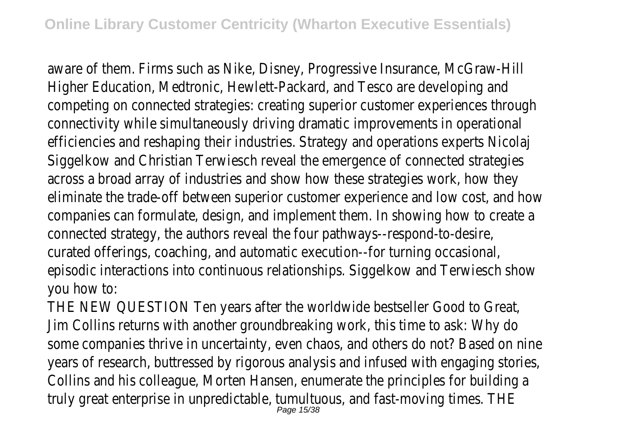aware of them. Firms such as Nike, Disney, Progressive Insurance, McGraw-Hill Higher Education, Medtronic, Hewlett-Packard, and Tesco are developing and competing on connected strategies: creating superior customer experiences through connectivity while simultaneously driving dramatic improvements in operational efficiencies and reshaping their industries. Strategy and operations experts Nicolaj Siggelkow and Christian Terwiesch reveal the emergence of connected strategies across a broad array of industries and show how these strategies work, how they eliminate the trade-off between superior customer experience and low cost, and how companies can formulate, design, and implement them. In showing how to create a connected strategy, the authors reveal the four pathways--respond-to-desire, curated offerings, coaching, and automatic execution--for turning occasional, episodic interactions into continuous relationships. Siggelkow and Terwiesch show you how to:

THE NEW QUESTION Ten years after the worldwide bestseller Good to Great, Jim Collins returns with another groundbreaking work, this time to ask: Why do some companies thrive in uncertainty, even chaos, and others do not? Based on nine years of research, buttressed by rigorous analysis and infused with engaging stories, Collins and his colleague, Morten Hansen, enumerate the principles for building a truly great enterprise in unpredictable, tumultuous, and fast-moving times. THE Page 15/38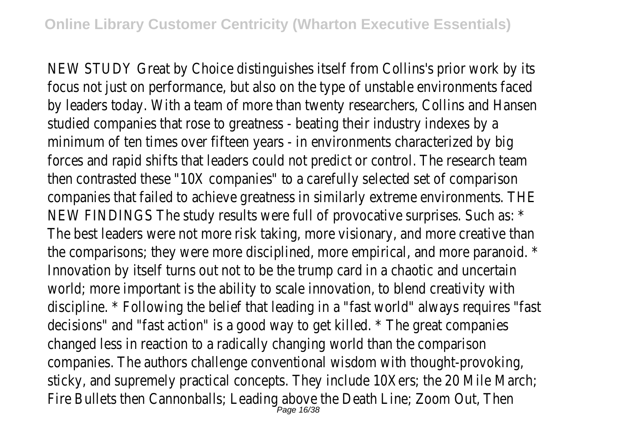NEW STUDY Great by Choice distinguishes itself from Collins's prior work by its focus not just on performance, but also on the type of unstable environments faced by leaders today. With a team of more than twenty researchers, Collins and Hansen studied companies that rose to greatness - beating their industry indexes by a minimum of ten times over fifteen years - in environments characterized by big forces and rapid shifts that leaders could not predict or control. The research team then contrasted these "10X companies" to a carefully selected set of comparison companies that failed to achieve greatness in similarly extreme environments. THE NEW FINDINGS The study results were full of provocative surprises. Such as: \* The best leaders were not more risk taking, more visionary, and more creative than the comparisons; they were more disciplined, more empirical, and more paranoid. \* Innovation by itself turns out not to be the trump card in a chaotic and uncertain world; more important is the ability to scale innovation, to blend creativity with discipline. \* Following the belief that leading in a "fast world" always requires "fast decisions" and "fast action" is a good way to get killed. \* The great companies changed less in reaction to a radically changing world than the comparison companies. The authors challenge conventional wisdom with thought-provoking, sticky, and supremely practical concepts. They include 10Xers; the 20 Mile March; Fire Bullets then Cannonballs; Leading above the Death Line; Zoom Out, Then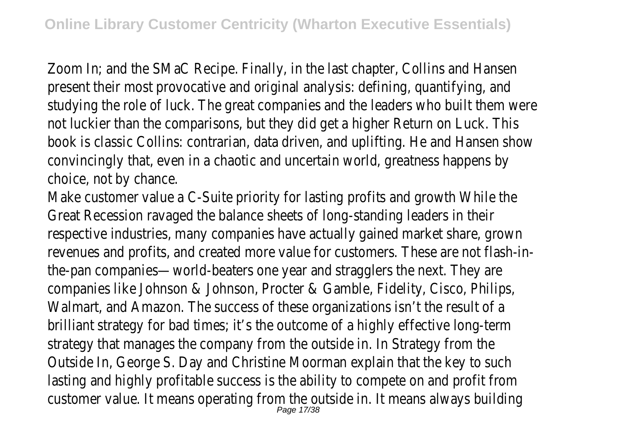Zoom In; and the SMaC Recipe. Finally, in the last chapter, Collins and Hansen present their most provocative and original analysis: defining, quantifying, and studying the role of luck. The great companies and the leaders who built them were not luckier than the comparisons, but they did get a higher Return on Luck. This book is classic Collins: contrarian, data driven, and uplifting. He and Hansen show convincingly that, even in a chaotic and uncertain world, greatness happens by choice, not by chance.

Make customer value a C-Suite priority for lasting profits and growth While the Great Recession ravaged the balance sheets of long-standing leaders in their respective industries, many companies have actually gained market share, grown revenues and profits, and created more value for customers. These are not flash-inthe-pan companies—world-beaters one year and stragglers the next. They are companies like Johnson & Johnson, Procter & Gamble, Fidelity, Cisco, Philips, Walmart, and Amazon. The success of these organizations isn't the result of a brilliant strategy for bad times; it's the outcome of a highly effective long-term strategy that manages the company from the outside in. In Strategy from the Outside In, George S. Day and Christine Moorman explain that the key to such lasting and highly profitable success is the ability to compete on and profit from customer value. It means operating from the outside in. It means always building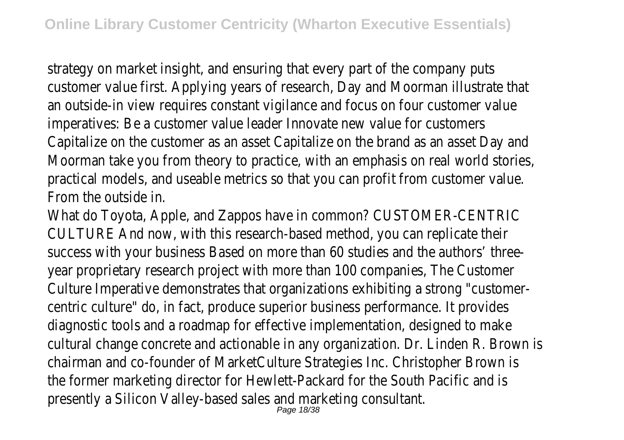strategy on market insight, and ensuring that every part of the company puts customer value first. Applying years of research, Day and Moorman illustrate that an outside-in view requires constant vigilance and focus on four customer value imperatives: Be a customer value leader Innovate new value for customers Capitalize on the customer as an asset Capitalize on the brand as an asset Day and Moorman take you from theory to practice, with an emphasis on real world stories, practical models, and useable metrics so that you can profit from customer value. From the outside in.

What do Toyota, Apple, and Zappos have in common? CUSTOMER-CENTRIC CULTURE And now, with this research-based method, you can replicate their success with your business Based on more than 60 studies and the authors' threeyear proprietary research project with more than 100 companies, The Customer Culture Imperative demonstrates that organizations exhibiting a strong "customercentric culture" do, in fact, produce superior business performance. It provides diagnostic tools and a roadmap for effective implementation, designed to make cultural change concrete and actionable in any organization. Dr. Linden R. Brown is chairman and co-founder of MarketCulture Strategies Inc. Christopher Brown is the former marketing director for Hewlett-Packard for the South Pacific and is presently a Silicon Valley-based sales and marketing consultant.<br>Page 18/38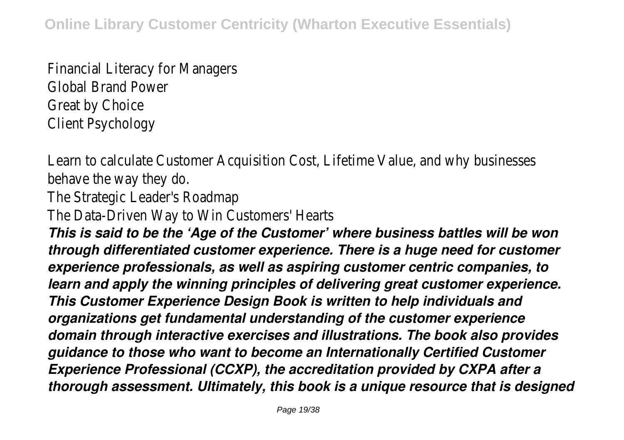Financial Literacy for Managers Global Brand Power Great by Choice Client Psychology

Learn to calculate Customer Acquisition Cost, Lifetime Value, and why businesses behave the way they do.

The Strategic Leader's Roadmap

The Data-Driven Way to Win Customers' Hearts

*This is said to be the 'Age of the Customer' where business battles will be won through differentiated customer experience. There is a huge need for customer experience professionals, as well as aspiring customer centric companies, to learn and apply the winning principles of delivering great customer experience. This Customer Experience Design Book is written to help individuals and organizations get fundamental understanding of the customer experience domain through interactive exercises and illustrations. The book also provides guidance to those who want to become an Internationally Certified Customer Experience Professional (CCXP), the accreditation provided by CXPA after a thorough assessment. Ultimately, this book is a unique resource that is designed*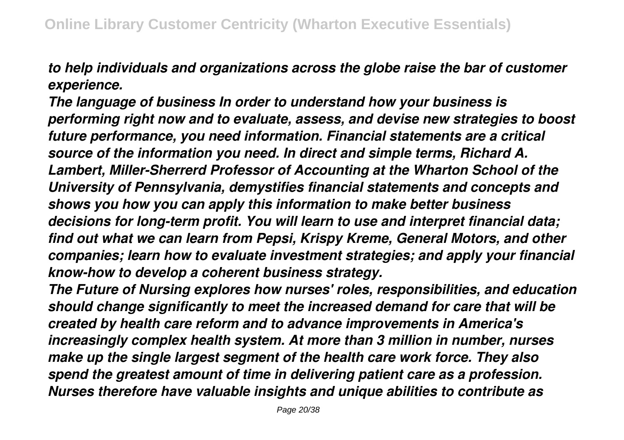*to help individuals and organizations across the globe raise the bar of customer experience.*

*The language of business In order to understand how your business is performing right now and to evaluate, assess, and devise new strategies to boost future performance, you need information. Financial statements are a critical source of the information you need. In direct and simple terms, Richard A. Lambert, Miller-Sherrerd Professor of Accounting at the Wharton School of the University of Pennsylvania, demystifies financial statements and concepts and shows you how you can apply this information to make better business decisions for long-term profit. You will learn to use and interpret financial data; find out what we can learn from Pepsi, Krispy Kreme, General Motors, and other companies; learn how to evaluate investment strategies; and apply your financial know-how to develop a coherent business strategy.*

*The Future of Nursing explores how nurses' roles, responsibilities, and education should change significantly to meet the increased demand for care that will be created by health care reform and to advance improvements in America's increasingly complex health system. At more than 3 million in number, nurses make up the single largest segment of the health care work force. They also spend the greatest amount of time in delivering patient care as a profession. Nurses therefore have valuable insights and unique abilities to contribute as*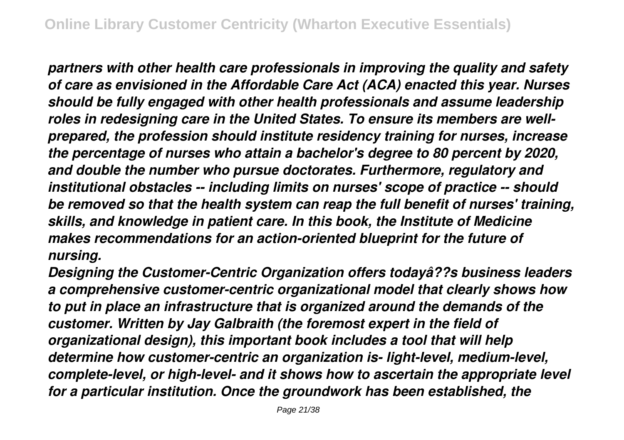*partners with other health care professionals in improving the quality and safety of care as envisioned in the Affordable Care Act (ACA) enacted this year. Nurses should be fully engaged with other health professionals and assume leadership roles in redesigning care in the United States. To ensure its members are wellprepared, the profession should institute residency training for nurses, increase the percentage of nurses who attain a bachelor's degree to 80 percent by 2020, and double the number who pursue doctorates. Furthermore, regulatory and institutional obstacles -- including limits on nurses' scope of practice -- should be removed so that the health system can reap the full benefit of nurses' training, skills, and knowledge in patient care. In this book, the Institute of Medicine makes recommendations for an action-oriented blueprint for the future of nursing.*

*Designing the Customer-Centric Organization offers todayâ??s business leaders a comprehensive customer-centric organizational model that clearly shows how to put in place an infrastructure that is organized around the demands of the customer. Written by Jay Galbraith (the foremost expert in the field of organizational design), this important book includes a tool that will help determine how customer-centric an organization is- light-level, medium-level, complete-level, or high-level- and it shows how to ascertain the appropriate level for a particular institution. Once the groundwork has been established, the*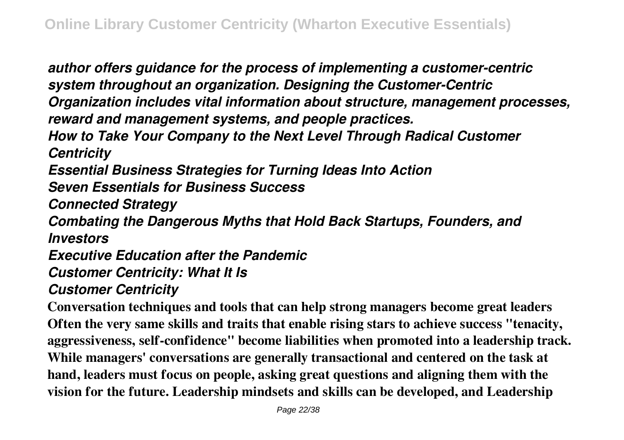*author offers guidance for the process of implementing a customer-centric system throughout an organization. Designing the Customer-Centric Organization includes vital information about structure, management processes, reward and management systems, and people practices. How to Take Your Company to the Next Level Through Radical Customer Centricity Essential Business Strategies for Turning Ideas Into Action Seven Essentials for Business Success Connected Strategy Combating the Dangerous Myths that Hold Back Startups, Founders, and Investors Executive Education after the Pandemic Customer Centricity: What It Is Customer Centricity*

**Conversation techniques and tools that can help strong managers become great leaders Often the very same skills and traits that enable rising stars to achieve success "tenacity, aggressiveness, self-confidence" become liabilities when promoted into a leadership track. While managers' conversations are generally transactional and centered on the task at hand, leaders must focus on people, asking great questions and aligning them with the vision for the future. Leadership mindsets and skills can be developed, and Leadership**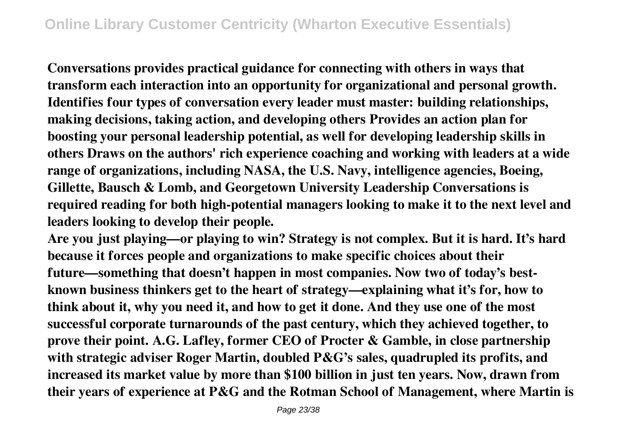**Conversations provides practical guidance for connecting with others in ways that transform each interaction into an opportunity for organizational and personal growth. Identifies four types of conversation every leader must master: building relationships, making decisions, taking action, and developing others Provides an action plan for boosting your personal leadership potential, as well for developing leadership skills in others Draws on the authors' rich experience coaching and working with leaders at a wide range of organizations, including NASA, the U.S. Navy, intelligence agencies, Boeing, Gillette, Bausch & Lomb, and Georgetown University Leadership Conversations is required reading for both high-potential managers looking to make it to the next level and leaders looking to develop their people.**

**Are you just playing—or playing to win? Strategy is not complex. But it is hard. It's hard because it forces people and organizations to make specific choices about their future—something that doesn't happen in most companies. Now two of today's bestknown business thinkers get to the heart of strategy—explaining what it's for, how to think about it, why you need it, and how to get it done. And they use one of the most successful corporate turnarounds of the past century, which they achieved together, to prove their point. A.G. Lafley, former CEO of Procter & Gamble, in close partnership with strategic adviser Roger Martin, doubled P&G's sales, quadrupled its profits, and increased its market value by more than \$100 billion in just ten years. Now, drawn from their years of experience at P&G and the Rotman School of Management, where Martin is**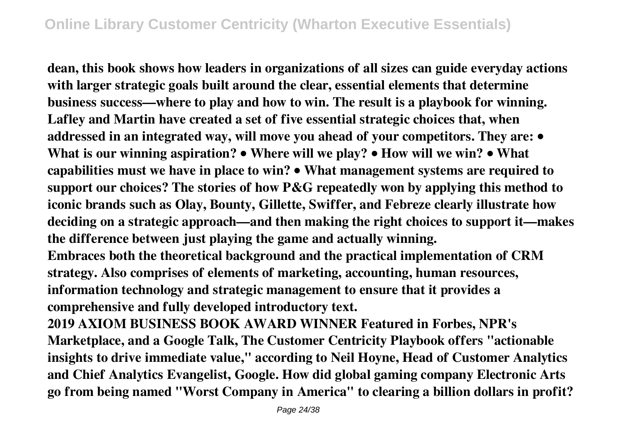**dean, this book shows how leaders in organizations of all sizes can guide everyday actions with larger strategic goals built around the clear, essential elements that determine business success—where to play and how to win. The result is a playbook for winning. Lafley and Martin have created a set of five essential strategic choices that, when addressed in an integrated way, will move you ahead of your competitors. They are: • What is our winning aspiration? • Where will we play? • How will we win? • What capabilities must we have in place to win? • What management systems are required to support our choices? The stories of how P&G repeatedly won by applying this method to iconic brands such as Olay, Bounty, Gillette, Swiffer, and Febreze clearly illustrate how deciding on a strategic approach—and then making the right choices to support it—makes the difference between just playing the game and actually winning. Embraces both the theoretical background and the practical implementation of CRM strategy. Also comprises of elements of marketing, accounting, human resources, information technology and strategic management to ensure that it provides a**

**comprehensive and fully developed introductory text.**

**2019 AXIOM BUSINESS BOOK AWARD WINNER Featured in Forbes, NPR's Marketplace, and a Google Talk, The Customer Centricity Playbook offers "actionable insights to drive immediate value," according to Neil Hoyne, Head of Customer Analytics and Chief Analytics Evangelist, Google. How did global gaming company Electronic Arts go from being named "Worst Company in America" to clearing a billion dollars in profit?**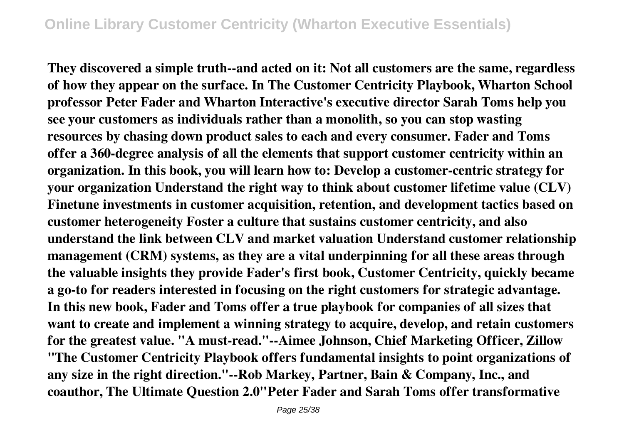**They discovered a simple truth--and acted on it: Not all customers are the same, regardless of how they appear on the surface. In The Customer Centricity Playbook, Wharton School professor Peter Fader and Wharton Interactive's executive director Sarah Toms help you see your customers as individuals rather than a monolith, so you can stop wasting resources by chasing down product sales to each and every consumer. Fader and Toms offer a 360-degree analysis of all the elements that support customer centricity within an organization. In this book, you will learn how to: Develop a customer-centric strategy for your organization Understand the right way to think about customer lifetime value (CLV) Finetune investments in customer acquisition, retention, and development tactics based on customer heterogeneity Foster a culture that sustains customer centricity, and also understand the link between CLV and market valuation Understand customer relationship management (CRM) systems, as they are a vital underpinning for all these areas through the valuable insights they provide Fader's first book, Customer Centricity, quickly became a go-to for readers interested in focusing on the right customers for strategic advantage. In this new book, Fader and Toms offer a true playbook for companies of all sizes that want to create and implement a winning strategy to acquire, develop, and retain customers for the greatest value. "A must-read."--Aimee Johnson, Chief Marketing Officer, Zillow "The Customer Centricity Playbook offers fundamental insights to point organizations of any size in the right direction."--Rob Markey, Partner, Bain & Company, Inc., and coauthor, The Ultimate Question 2.0"Peter Fader and Sarah Toms offer transformative**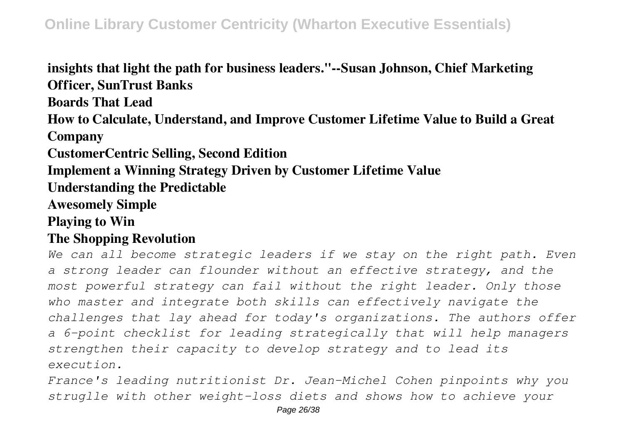**insights that light the path for business leaders."--Susan Johnson, Chief Marketing Officer, SunTrust Banks Boards That Lead How to Calculate, Understand, and Improve Customer Lifetime Value to Build a Great Company CustomerCentric Selling, Second Edition Implement a Winning Strategy Driven by Customer Lifetime Value Understanding the Predictable Awesomely Simple Playing to Win The Shopping Revolution**

*We can all become strategic leaders if we stay on the right path. Even a strong leader can flounder without an effective strategy, and the most powerful strategy can fail without the right leader. Only those who master and integrate both skills can effectively navigate the challenges that lay ahead for today's organizations. The authors offer a 6-point checklist for leading strategically that will help managers strengthen their capacity to develop strategy and to lead its execution.*

*France's leading nutritionist Dr. Jean-Michel Cohen pinpoints why you struglle with other weight-loss diets and shows how to achieve your*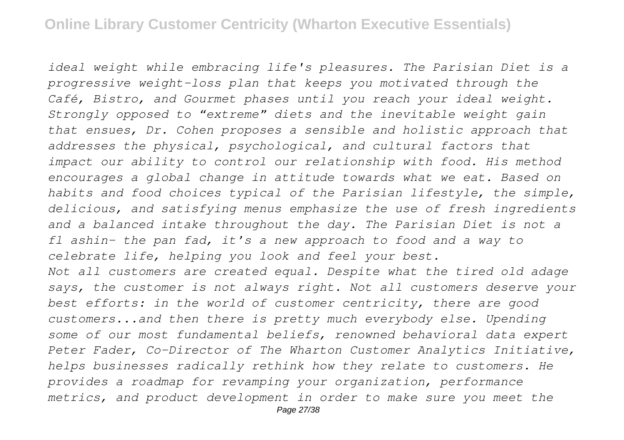*ideal weight while embracing life's pleasures. The Parisian Diet is a progressive weight-loss plan that keeps you motivated through the Café, Bistro, and Gourmet phases until you reach your ideal weight. Strongly opposed to "extreme" diets and the inevitable weight gain that ensues, Dr. Cohen proposes a sensible and holistic approach that addresses the physical, psychological, and cultural factors that impact our ability to control our relationship with food. His method encourages a global change in attitude towards what we eat. Based on habits and food choices typical of the Parisian lifestyle, the simple, delicious, and satisfying menus emphasize the use of fresh ingredients and a balanced intake throughout the day. The Parisian Diet is not a fl ashin- the pan fad, it's a new approach to food and a way to celebrate life, helping you look and feel your best. Not all customers are created equal. Despite what the tired old adage says, the customer is not always right. Not all customers deserve your best efforts: in the world of customer centricity, there are good customers...and then there is pretty much everybody else. Upending some of our most fundamental beliefs, renowned behavioral data expert Peter Fader, Co-Director of The Wharton Customer Analytics Initiative, helps businesses radically rethink how they relate to customers. He provides a roadmap for revamping your organization, performance metrics, and product development in order to make sure you meet the*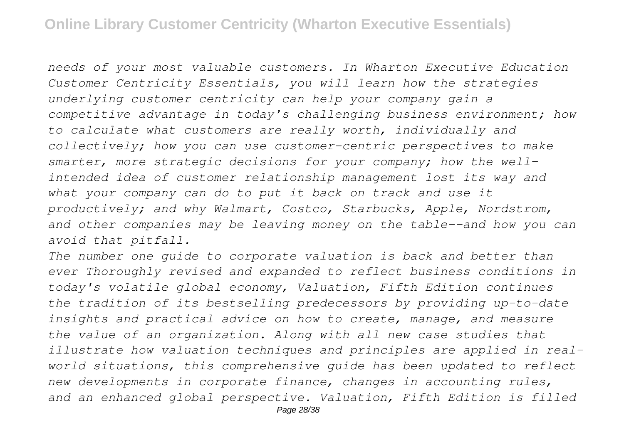*needs of your most valuable customers. In Wharton Executive Education Customer Centricity Essentials, you will learn how the strategies underlying customer centricity can help your company gain a competitive advantage in today's challenging business environment; how to calculate what customers are really worth, individually and collectively; how you can use customer-centric perspectives to make smarter, more strategic decisions for your company; how the wellintended idea of customer relationship management lost its way and what your company can do to put it back on track and use it productively; and why Walmart, Costco, Starbucks, Apple, Nordstrom, and other companies may be leaving money on the table--and how you can avoid that pitfall.*

*The number one guide to corporate valuation is back and better than ever Thoroughly revised and expanded to reflect business conditions in today's volatile global economy, Valuation, Fifth Edition continues the tradition of its bestselling predecessors by providing up-to-date insights and practical advice on how to create, manage, and measure the value of an organization. Along with all new case studies that illustrate how valuation techniques and principles are applied in realworld situations, this comprehensive guide has been updated to reflect new developments in corporate finance, changes in accounting rules, and an enhanced global perspective. Valuation, Fifth Edition is filled*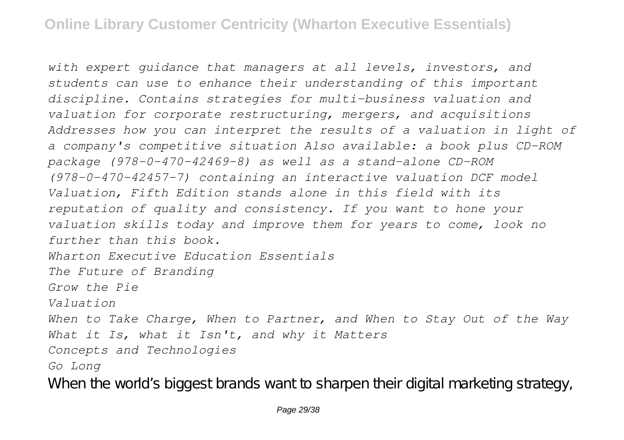*with expert guidance that managers at all levels, investors, and students can use to enhance their understanding of this important discipline. Contains strategies for multi-business valuation and valuation for corporate restructuring, mergers, and acquisitions Addresses how you can interpret the results of a valuation in light of a company's competitive situation Also available: a book plus CD-ROM package (978-0-470-42469-8) as well as a stand-alone CD-ROM (978-0-470-42457-7) containing an interactive valuation DCF model Valuation, Fifth Edition stands alone in this field with its reputation of quality and consistency. If you want to hone your valuation skills today and improve them for years to come, look no further than this book. Wharton Executive Education Essentials The Future of Branding Grow the Pie Valuation When to Take Charge, When to Partner, and When to Stay Out of the Way What it Is, what it Isn't, and why it Matters Concepts and Technologies Go Long* When the world's biggest brands want to sharpen their digital marketing strategy,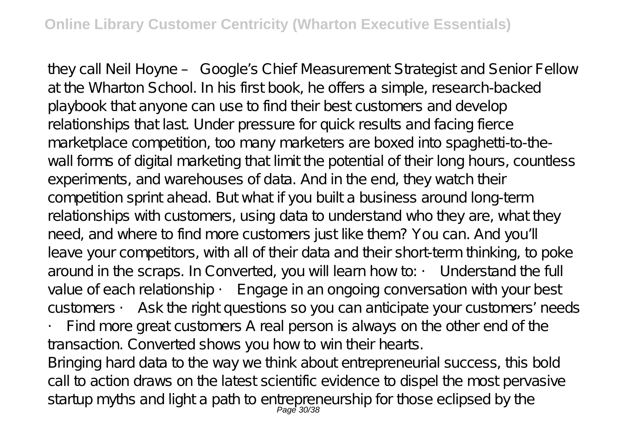they call Neil Hoyne – Google's Chief Measurement Strategist and Senior Fellow at the Wharton School. In his first book, he offers a simple, research-backed playbook that anyone can use to find their best customers and develop relationships that last. Under pressure for quick results and facing fierce marketplace competition, too many marketers are boxed into spaghetti-to-thewall forms of digital marketing that limit the potential of their long hours, countless experiments, and warehouses of data. And in the end, they watch their competition sprint ahead. But what if you built a business around long-term relationships with customers, using data to understand who they are, what they need, and where to find more customers just like them? You can. And you'll leave your competitors, with all of their data and their short-term thinking, to poke around in the scraps. In Converted, you will learn how to: • Understand the full value of each relationship • Engage in an ongoing conversation with your best customers • Ask the right questions so you can anticipate your customers' needs

• Find more great customers A real person is always on the other end of the transaction. Converted shows you how to win their hearts.

Bringing hard data to the way we think about entrepreneurial success, this bold call to action draws on the latest scientific evidence to dispel the most pervasive startup myths and light a path to entrepreneurship for those eclipsed by the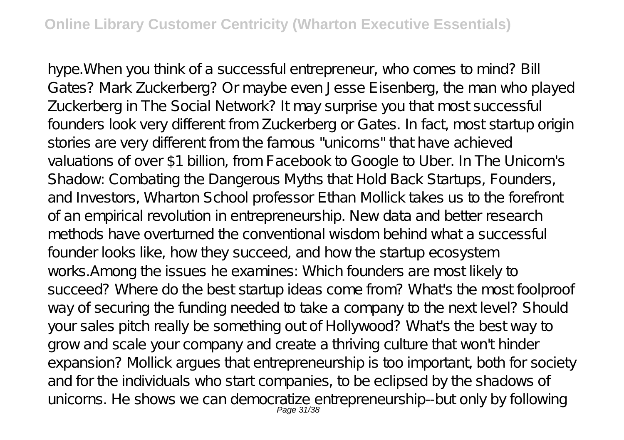hype.When you think of a successful entrepreneur, who comes to mind? Bill Gates? Mark Zuckerberg? Or maybe even Jesse Eisenberg, the man who played Zuckerberg in The Social Network? It may surprise you that most successful founders look very different from Zuckerberg or Gates. In fact, most startup origin stories are very different from the famous "unicorns" that have achieved valuations of over \$1 billion, from Facebook to Google to Uber. In The Unicorn's Shadow: Combating the Dangerous Myths that Hold Back Startups, Founders, and Investors, Wharton School professor E than Mollick takes us to the forefront of an empirical revolution in entrepreneurship. New data and better research methods have overturned the conventional wisdom behind what a successful founder looks like, how they succeed, and how the startup ecosystem works.Among the issues he examines: Which founders are most likely to succeed? Where do the best startup ideas come from? What's the most foolproof way of securing the funding needed to take a company to the next level? Should your sales pitch really be something out of Hollywood? What's the best way to grow and scale your company and create a thriving culture that won't hinder expansion? Mollick argues that entrepreneurship is too important, both for society and for the individuals who start companies, to be eclipsed by the shadows of unicorns. He shows we can democratize entrepreneurship--but only by following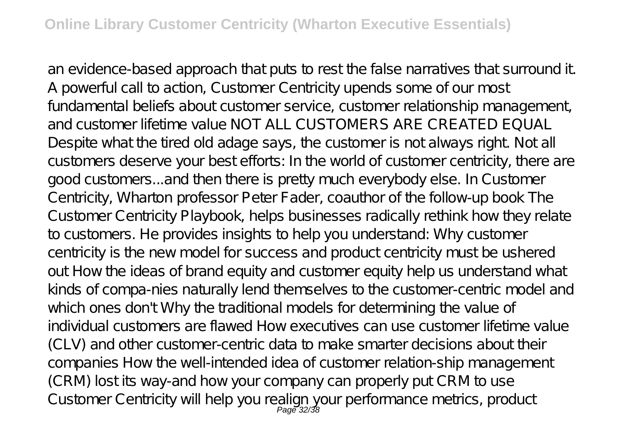an evidence-based approach that puts to rest the false narratives that surround it. A powerful call to action, Customer Centricity upends some of our most fundamental beliefs about customer service, customer relationship management, and customer lifetime value NOT ALL CUSTOMERS ARE CREATED EQUAL Despite what the tired old adage says, the customer is not always right. Not all customers deserve your best efforts: In the world of customer centricity, there are good customers...and then there is pretty much everybody else. In Customer Centricity, Wharton professor Peter Fader, coauthor of the follow-up book The Customer Centricity Playbook, helps businesses radically rethink how they relate to customers. He provides insights to help you understand: Why customer centricity is the new model for success and product centricity must be ushered out How the ideas of brand equity and customer equity help us understand what kinds of compa-nies naturally lend themselves to the customer-centric model and which ones don't Why the traditional models for determining the value of individual customers are flawed How executives can use customer lifetime value (CLV) and other customer-centric data to make smarter decisions about their companies How the well-intended idea of customer relation-ship management (CRM) lost its way-and how your company can properly put CRM to use Customer Centricity will help you realign your performance metrics, product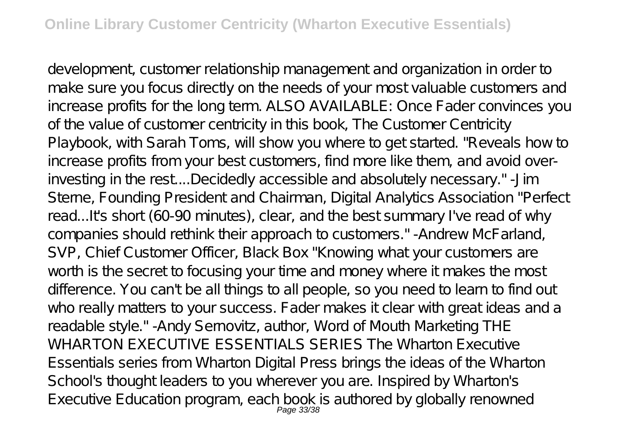development, customer relationship management and organization in order to make sure you focus directly on the needs of your most valuable customers and increase profits for the long term. ALSO AVAILABLE: Once Fader convinces you of the value of customer centricity in this book, The Customer Centricity Playbook, with Sarah Toms, will show you where to get started. "Reveals how to increase profits from your best customers, find more like them, and avoid overinvesting in the rest....Decidedly accessible and absolutely necessary." -Jim Sterne, Founding President and Chairman, Digital Analytics Association "Perfect read...It's short (60-90 minutes), clear, and the best summary I've read of why companies should rethink their approach to customers." -Andrew McFarland, SVP, Chief Customer Officer, Black Box "Knowing what your customers are worth is the secret to focusing your time and money where it makes the most difference. You can't be all things to all people, so you need to learn to find out who really matters to your success. Fader makes it clear with great ideas and a readable style." - Andy Sernovitz, author, Word of Mouth Marketing THE WHARTON EXECUTIVE ESSENTIALS SERIES The Wharton Fxecutive Essentials series from Wharton Digital Press brings the ideas of the Wharton School's thought leaders to you wherever you are. Inspired by Wharton's Executive Education program, each book is authored by globally renowned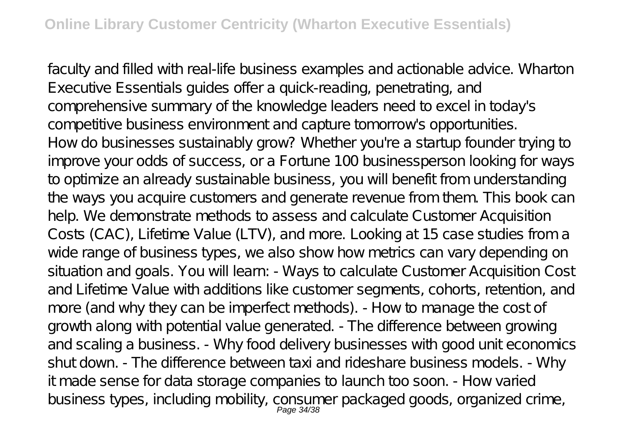faculty and filled with real-life business examples and actionable advice. Wharton Executive Essentials guides offer a quick-reading, penetrating, and comprehensive summary of the knowledge leaders need to excel in today's competitive business environment and capture tomorrow's opportunities. How do businesses sustainably grow? Whether you're a startup founder trying to improve your odds of success, or a Fortune 100 businessperson looking for ways to optimize an already sustainable business, you will benefit from understanding the ways you acquire customers and generate revenue from them. This book can help. We demonstrate methods to assess and calculate Customer Acquisition Costs (CAC), Lifetime Value (LTV), and more. Looking at 15 case studies from a wide range of business types, we also show how metrics can vary depending on situation and goals. You will learn: - Ways to calculate Customer Acquisition Cost and Lifetime Value with additions like customer segments, cohorts, retention, and more (and why they can be imperfect methods). - How to manage the cost of growth along with potential value generated. - The difference between growing and scaling a business. - Why food delivery businesses with good unit economics shut down. - The difference between taxi and rideshare business models. - Why it made sense for data storage companies to launch too soon. - How varied business types, including mobility, consumer packaged goods, organized crime,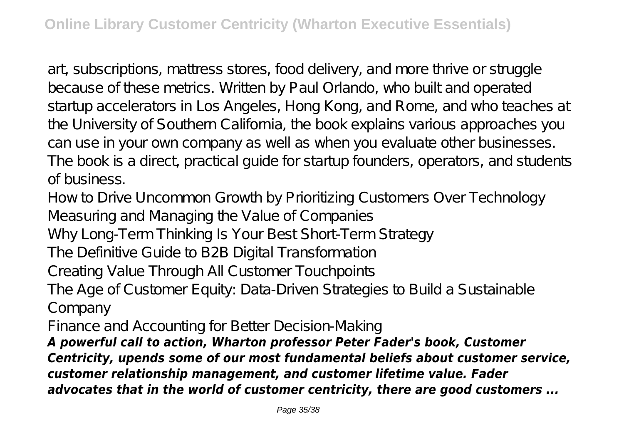art, subscriptions, mattress stores, food delivery, and more thrive or struggle because of these metrics. Written by Paul Orlando, who built and operated startup accelerators in Los Angeles, Hong Kong, and Rome, and who teaches at the University of Southern California, the book explains various approaches you can use in your own company as well as when you evaluate other businesses. The book is a direct, practical guide for startup founders, operators, and students of business.

How to Drive Uncommon Growth by Prioritizing Customers Over Technology

Measuring and Managing the Value of Companies

Why Long-Term Thinking Is Your Best Short-Term Strategy

The Definitive Guide to B2B Digital Transformation

Creating Value Through All Customer Touchpoints

The Age of Customer Equity: Data-Driven Strategies to Build a Sustainable Company

Finance and Accounting for Better Decision-Making

*A powerful call to action, Wharton professor Peter Fader's book, Customer Centricity, upends some of our most fundamental beliefs about customer service, customer relationship management, and customer lifetime value. Fader advocates that in the world of customer centricity, there are good customers ...*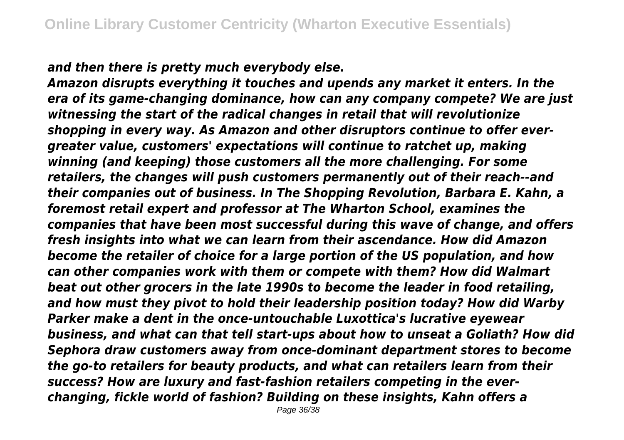*and then there is pretty much everybody else.*

*Amazon disrupts everything it touches and upends any market it enters. In the era of its game-changing dominance, how can any company compete? We are just witnessing the start of the radical changes in retail that will revolutionize shopping in every way. As Amazon and other disruptors continue to offer evergreater value, customers' expectations will continue to ratchet up, making winning (and keeping) those customers all the more challenging. For some retailers, the changes will push customers permanently out of their reach--and their companies out of business. In The Shopping Revolution, Barbara E. Kahn, a foremost retail expert and professor at The Wharton School, examines the companies that have been most successful during this wave of change, and offers fresh insights into what we can learn from their ascendance. How did Amazon become the retailer of choice for a large portion of the US population, and how can other companies work with them or compete with them? How did Walmart beat out other grocers in the late 1990s to become the leader in food retailing, and how must they pivot to hold their leadership position today? How did Warby Parker make a dent in the once-untouchable Luxottica's lucrative eyewear business, and what can that tell start-ups about how to unseat a Goliath? How did Sephora draw customers away from once-dominant department stores to become the go-to retailers for beauty products, and what can retailers learn from their success? How are luxury and fast-fashion retailers competing in the everchanging, fickle world of fashion? Building on these insights, Kahn offers a*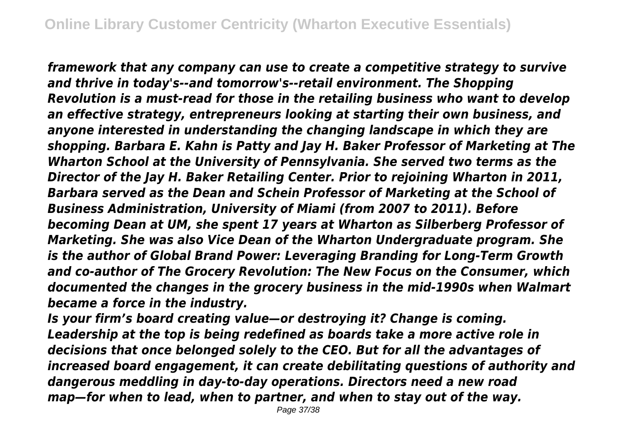*framework that any company can use to create a competitive strategy to survive and thrive in today's--and tomorrow's--retail environment. The Shopping Revolution is a must-read for those in the retailing business who want to develop an effective strategy, entrepreneurs looking at starting their own business, and anyone interested in understanding the changing landscape in which they are shopping. Barbara E. Kahn is Patty and Jay H. Baker Professor of Marketing at The Wharton School at the University of Pennsylvania. She served two terms as the Director of the Jay H. Baker Retailing Center. Prior to rejoining Wharton in 2011, Barbara served as the Dean and Schein Professor of Marketing at the School of Business Administration, University of Miami (from 2007 to 2011). Before becoming Dean at UM, she spent 17 years at Wharton as Silberberg Professor of Marketing. She was also Vice Dean of the Wharton Undergraduate program. She is the author of Global Brand Power: Leveraging Branding for Long-Term Growth and co-author of The Grocery Revolution: The New Focus on the Consumer, which documented the changes in the grocery business in the mid-1990s when Walmart became a force in the industry.*

*Is your firm's board creating value—or destroying it? Change is coming. Leadership at the top is being redefined as boards take a more active role in decisions that once belonged solely to the CEO. But for all the advantages of increased board engagement, it can create debilitating questions of authority and dangerous meddling in day-to-day operations. Directors need a new road map—for when to lead, when to partner, and when to stay out of the way.*